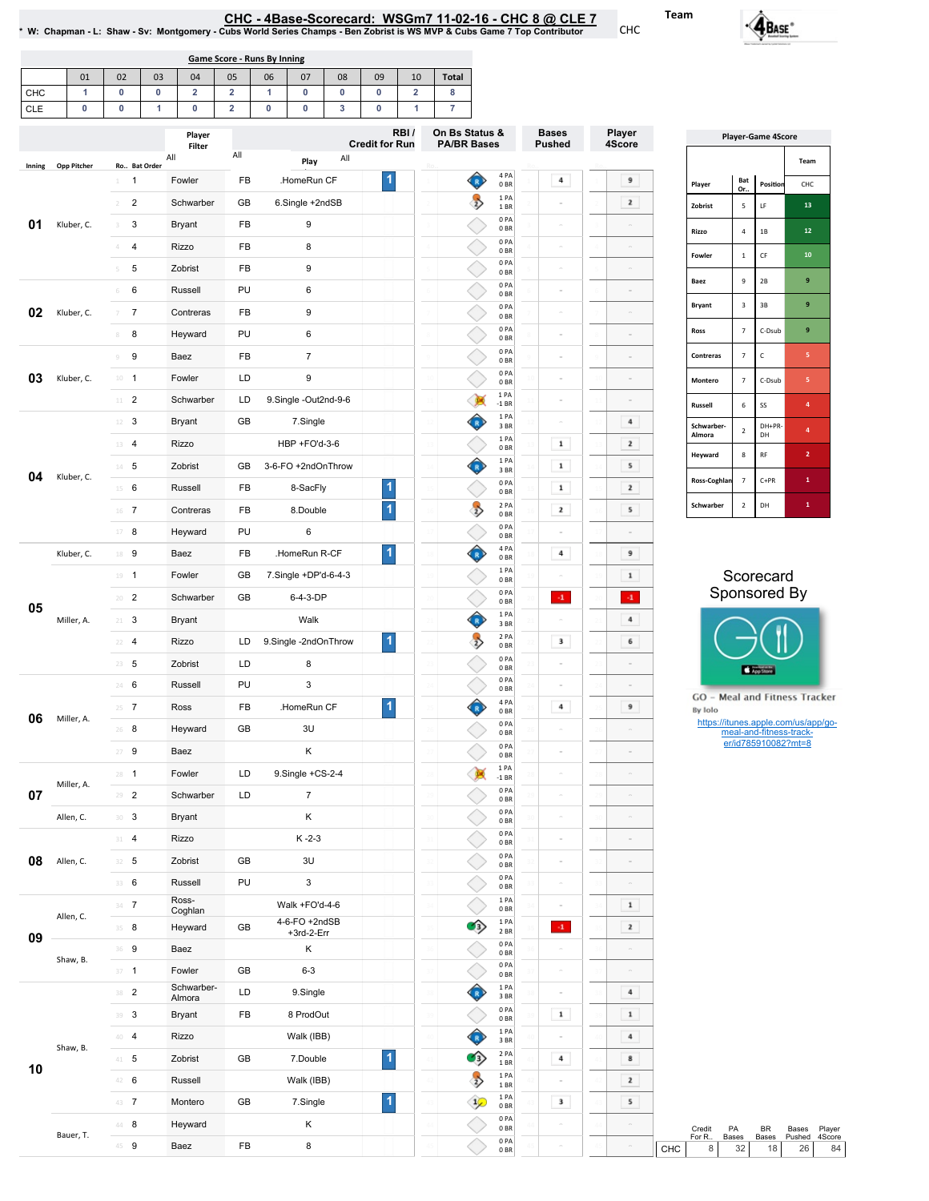<u>CHC - 4Base-Scorecard: WSGm7 11-02-16 - CHC 8 @ CLE 7</u><br>W: Chapman - L: Shaw - Sv: Montgomery - Cubs World Series Champs - Ben Zobrist is WS MVP & Cubs Game 7 Top Contributor

01 | 02 | 03 | 04 | 05 | 06 | 07 | 08 | 09 | 10 | Total | CHC CLE 1 0 0 2 2 1 0 0 0 2 8 0 0 0 1 0 2 0 0 3 0 1 7 Game Score - Runs By Inning

|        |             |                                                                                                                                                                                                                | Player                                                                | RBI/<br><b>Credit for Run</b> |                               | On Bs Status &<br><b>PA/BR Bases</b> | <b>Bases</b><br>Player<br><b>Pushed</b><br>4Score |                         | <b>Player-Game 4Score</b> |                                                                                                                                                                                                                       |                                                                                                                                                                                                                                                                                                                                                                                                                      |               |                  |
|--------|-------------|----------------------------------------------------------------------------------------------------------------------------------------------------------------------------------------------------------------|-----------------------------------------------------------------------|-------------------------------|-------------------------------|--------------------------------------|---------------------------------------------------|-------------------------|---------------------------|-----------------------------------------------------------------------------------------------------------------------------------------------------------------------------------------------------------------------|----------------------------------------------------------------------------------------------------------------------------------------------------------------------------------------------------------------------------------------------------------------------------------------------------------------------------------------------------------------------------------------------------------------------|---------------|------------------|
|        |             |                                                                                                                                                                                                                | Filter<br>All                                                         | All                           | All<br>Play                   |                                      |                                                   |                         |                           |                                                                                                                                                                                                                       |                                                                                                                                                                                                                                                                                                                                                                                                                      |               | Team             |
| Inning | Opp Pitcher | Ro Bat Order<br>$\overline{1}$<br>$1$ .                                                                                                                                                                        | Fowler                                                                | FB                            | .HomeRun CF                   | 1                                    | 4 PA<br>♦<br>0 <sub>BR</sub>                      | 4                       | 9                         | Player                                                                                                                                                                                                                | Bat                                                                                                                                                                                                                                                                                                                                                                                                                  |               |                  |
|        |             | $\overline{2}$<br>$\overline{2}$                                                                                                                                                                               | Schwarber                                                             | GB                            | 6.Single +2ndSB               |                                      | 1PA<br>$\rightarrow$                              |                         |                           |                                                                                                                                                                                                                       | Or.                                                                                                                                                                                                                                                                                                                                                                                                                  |               |                  |
| 01     | Kluber, C.  | 3<br>$3 -$                                                                                                                                                                                                     | <b>Bryant</b>                                                         | FB                            | 9                             |                                      | 1 BR<br>0PA                                       |                         |                           |                                                                                                                                                                                                                       |                                                                                                                                                                                                                                                                                                                                                                                                                      |               |                  |
|        |             | $\overline{4}$<br>4                                                                                                                                                                                            | Rizzo                                                                 | FB                            | 8                             |                                      | 0 <sub>BR</sub><br>0PA                            |                         |                           | Rizzo                                                                                                                                                                                                                 | 4                                                                                                                                                                                                                                                                                                                                                                                                                    | $1\mathrm{B}$ |                  |
|        |             | 5<br>5                                                                                                                                                                                                         | Zobrist                                                               | FB                            | 9                             |                                      | 0 <sub>BR</sub><br>0PA                            |                         |                           | Fowler                                                                                                                                                                                                                | $1\,$                                                                                                                                                                                                                                                                                                                                                                                                                | $\mathsf{CF}$ | $10\,$           |
|        |             |                                                                                                                                                                                                                |                                                                       |                               |                               |                                      | 0 <sub>BR</sub><br>0PA                            |                         |                           | Baez                                                                                                                                                                                                                  | 9                                                                                                                                                                                                                                                                                                                                                                                                                    | $2\mathsf{B}$ | 9                |
|        |             | 6<br>6                                                                                                                                                                                                         | Russell                                                               | PU                            | 6                             |                                      | 0 <sub>BR</sub><br>0PA                            |                         |                           | <b>Bryant</b>                                                                                                                                                                                                         | $\mathsf3$                                                                                                                                                                                                                                                                                                                                                                                                           | 3B            | 9                |
| 02     | Kluber, C.  | $\overline{7}$<br>$7 -$                                                                                                                                                                                        | Contreras                                                             | FB                            | 9                             |                                      | 0 <sub>BR</sub><br>0PA                            |                         |                           |                                                                                                                                                                                                                       |                                                                                                                                                                                                                                                                                                                                                                                                                      |               |                  |
|        |             | 8<br>8                                                                                                                                                                                                         | Heyward                                                               | PU                            | 6                             |                                      | 0 <sub>BR</sub><br>0PA                            |                         |                           |                                                                                                                                                                                                                       |                                                                                                                                                                                                                                                                                                                                                                                                                      |               |                  |
|        |             | 9<br>9                                                                                                                                                                                                         | Baez                                                                  | FB                            | $\overline{7}$                |                                      | 0 <sub>BR</sub>                                   |                         | $\sim$                    | Contreras                                                                                                                                                                                                             | Position<br>CHC<br>13<br>5<br>LF<br>12<br>9<br>$\overline{7}$<br>C-Dsub<br>$\mathsf{C}$<br>5<br>$\overline{7}$<br>C-Dsub<br>5<br>$\overline{7}$<br>$\,$ 6 $\,$<br>SS<br>4<br>DH+PR<br>$\pmb{4}$<br>$\overline{2}$<br>DH<br>$\mathbf{2}$<br>8<br>RF<br>$\mathbf{1}^-$<br>$C+PR$<br>$\overline{7}$<br>$\mathbf{1}$<br>$\overline{2}$<br>DH<br>Scorecard<br>App Store<br>meal-and-fitness-track-<br>er/id785910082?mt=8 |               |                  |
| 03     | Kluber, C.  | $10 - 1$                                                                                                                                                                                                       | Fowler                                                                | LD                            | 9                             |                                      | 0PA<br>0 <sub>BR</sub>                            |                         |                           | Montero                                                                                                                                                                                                               |                                                                                                                                                                                                                                                                                                                                                                                                                      |               |                  |
|        |             | $11$ 2                                                                                                                                                                                                         | Schwarber                                                             | LD                            | 9.Single -Out2nd-9-6          |                                      | 1 PA<br>B<br>$-1$ BR                              |                         |                           | Russell                                                                                                                                                                                                               |                                                                                                                                                                                                                                                                                                                                                                                                                      |               |                  |
|        |             | $\mathbf{3}$<br>$12 -$                                                                                                                                                                                         | <b>Bryant</b>                                                         | GB                            | 7.Single                      |                                      | Ĝ<br>1PA<br>3BR                                   |                         | 4                         | Schwarber-                                                                                                                                                                                                            |                                                                                                                                                                                                                                                                                                                                                                                                                      |               |                  |
|        |             | 13 4                                                                                                                                                                                                           | Rizzo                                                                 |                               | HBP +FO'd-3-6                 |                                      | 1PA<br>0 <sub>BR</sub>                            | $\mathbf 1$             | $\mathbf{z}$              |                                                                                                                                                                                                                       | Sponsored By<br>GO - Meal and Fitness Tracker<br>https://itunes.apple.com/us/app/go-<br>PA<br>BR<br>Bases<br>Pushed<br>Bases<br>Bases<br>32<br>18<br>26                                                                                                                                                                                                                                                              |               |                  |
|        |             | $14$ 5                                                                                                                                                                                                         | Zobrist                                                               | GB                            | 3-6-FO +2ndOnThrow            |                                      | 1 PA<br>Ô<br>3BR                                  | $\mathbf 1$             | 5                         |                                                                                                                                                                                                                       |                                                                                                                                                                                                                                                                                                                                                                                                                      |               |                  |
| 04     | Kluber, C.  | $15 \t 6$                                                                                                                                                                                                      | Russell                                                               | FB                            | 8-SacFly                      | 1                                    | 0PA<br>0 <sub>BR</sub>                            | $\mathbf 1$             | $\mathbf{z}$              | Ross-Coghlan                                                                                                                                                                                                          |                                                                                                                                                                                                                                                                                                                                                                                                                      |               |                  |
|        |             | 16 7                                                                                                                                                                                                           | Contreras                                                             | FB                            | 8.Double                      | $\overline{\mathbf{1}}$              | $\rightarrow$<br>2 PA<br>0 <sub>BR</sub>          | $\mathbf{z}$            | 5                         | Schwarber                                                                                                                                                                                                             |                                                                                                                                                                                                                                                                                                                                                                                                                      |               |                  |
|        |             | $17 - 8$<br>PU<br>Heyward<br>FB<br>18 9<br>Baez<br>GB<br>Fowler<br>$19 - 1$<br>$20 - 2$<br>Schwarber<br>GB<br>$\mathbf{3}$<br><b>Bryant</b><br>$21 -$<br>$22 - 4$<br>Rizzo<br>LD<br>$23 \t 5$<br>Zobrist<br>LD | 6                                                                     |                               | 0PA<br>0 <sub>BR</sub>        |                                      |                                                   |                         |                           |                                                                                                                                                                                                                       |                                                                                                                                                                                                                                                                                                                                                                                                                      |               |                  |
|        | Kluber, C.  |                                                                                                                                                                                                                |                                                                       |                               | .HomeRun R-CF                 | 1                                    | 4 PA<br>Ĝ<br>0 <sub>BR</sub>                      | $\overline{\mathbf{4}}$ | 9                         |                                                                                                                                                                                                                       |                                                                                                                                                                                                                                                                                                                                                                                                                      |               |                  |
|        |             |                                                                                                                                                                                                                |                                                                       |                               | 7.Single +DP'd-6-4-3          |                                      | 1PA<br>0 <sub>BR</sub>                            |                         | $\mathbf 1$               |                                                                                                                                                                                                                       |                                                                                                                                                                                                                                                                                                                                                                                                                      |               |                  |
|        |             |                                                                                                                                                                                                                |                                                                       |                               | 6-4-3-DP                      |                                      | 0PA                                               | $\cdot 1$               |                           |                                                                                                                                                                                                                       |                                                                                                                                                                                                                                                                                                                                                                                                                      |               |                  |
| 05     | Miller, A.  |                                                                                                                                                                                                                |                                                                       |                               | Walk                          |                                      | 0 <sub>BR</sub><br>1PA<br>♦                       |                         |                           |                                                                                                                                                                                                                       |                                                                                                                                                                                                                                                                                                                                                                                                                      |               |                  |
|        |             |                                                                                                                                                                                                                |                                                                       |                               | 9.Single -2ndOnThrow          | 1                                    | 3BR<br>$\rightarrow$<br>2 PA                      | 3                       |                           |                                                                                                                                                                                                                       |                                                                                                                                                                                                                                                                                                                                                                                                                      |               |                  |
|        |             |                                                                                                                                                                                                                |                                                                       |                               |                               |                                      | 0 <sub>BR</sub><br>0PA                            |                         |                           |                                                                                                                                                                                                                       |                                                                                                                                                                                                                                                                                                                                                                                                                      |               |                  |
|        |             |                                                                                                                                                                                                                |                                                                       |                               | 8                             |                                      | 0 <sub>BR</sub><br>0PA                            |                         |                           |                                                                                                                                                                                                                       |                                                                                                                                                                                                                                                                                                                                                                                                                      |               |                  |
|        |             | 24 6                                                                                                                                                                                                           | $\ensuremath{\mathsf{3}}$<br>PU<br>Russell<br>0 <sub>BR</sub><br>4 PA |                               |                               |                                      |                                                   |                         |                           |                                                                                                                                                                                                                       |                                                                                                                                                                                                                                                                                                                                                                                                                      |               |                  |
| 06     | Miller, A.  | $25 - 7$                                                                                                                                                                                                       | Ross                                                                  | FB                            | .HomeRun CF                   | 1                                    | Ô<br>0 <sub>BR</sub><br>0PA                       | 4                       |                           |                                                                                                                                                                                                                       |                                                                                                                                                                                                                                                                                                                                                                                                                      |               |                  |
|        |             | 8<br>26                                                                                                                                                                                                        | Heyward                                                               | GB                            | 3U                            |                                      | 0 <sub>BR</sub><br>0PA                            |                         |                           |                                                                                                                                                                                                                       |                                                                                                                                                                                                                                                                                                                                                                                                                      |               |                  |
|        |             | $27 - 9$                                                                                                                                                                                                       | Baez                                                                  |                               | Κ                             |                                      | 0 <sub>BR</sub>                                   |                         | $\equiv$                  |                                                                                                                                                                                                                       |                                                                                                                                                                                                                                                                                                                                                                                                                      |               |                  |
|        | Miller, A.  | $28 - 1$                                                                                                                                                                                                       | Fowler                                                                | LD                            | 9.Single +CS-2-4              |                                      | 1 PA<br><b>R</b><br>$-1$ BR                       |                         | $\sim$                    |                                                                                                                                                                                                                       |                                                                                                                                                                                                                                                                                                                                                                                                                      |               |                  |
| 07     |             | $\overline{2}$<br>29                                                                                                                                                                                           | Schwarber                                                             | LD                            | $\overline{7}$                |                                      | 0PA<br>0 <sub>BR</sub>                            |                         |                           |                                                                                                                                                                                                                       |                                                                                                                                                                                                                                                                                                                                                                                                                      |               |                  |
|        | Allen, C.   | $30-3$                                                                                                                                                                                                         | Bryant                                                                |                               | Κ                             |                                      | 0PA<br>0 <sub>BR</sub>                            |                         |                           |                                                                                                                                                                                                                       |                                                                                                                                                                                                                                                                                                                                                                                                                      |               |                  |
|        |             | 31 4                                                                                                                                                                                                           | Rizzo                                                                 |                               | $K - 2 - 3$                   |                                      | 0PA<br>0 <sub>BR</sub>                            | $\sim$                  | $\sim$                    |                                                                                                                                                                                                                       |                                                                                                                                                                                                                                                                                                                                                                                                                      |               |                  |
| 08     | Allen, C.   | $32 - 5$                                                                                                                                                                                                       | Zobrist                                                               | GB                            | 3U                            |                                      | 0PA<br>0 <sub>BR</sub>                            |                         | $\sim$                    |                                                                                                                                                                                                                       |                                                                                                                                                                                                                                                                                                                                                                                                                      |               |                  |
|        |             | 33 6                                                                                                                                                                                                           | Russell                                                               | PU                            | 3                             |                                      | 0PA<br>0 <sub>BR</sub>                            |                         |                           |                                                                                                                                                                                                                       |                                                                                                                                                                                                                                                                                                                                                                                                                      |               |                  |
|        |             | $34 - 7$                                                                                                                                                                                                       | Ross-<br>Coghlan                                                      |                               | Walk +FO'd-4-6                |                                      | 1PA<br>0 <sub>BR</sub>                            |                         | $\mathbf 1$               |                                                                                                                                                                                                                       |                                                                                                                                                                                                                                                                                                                                                                                                                      |               | Player<br>4Score |
|        | Allen, C.   | $35 - 8$                                                                                                                                                                                                       | Heyward                                                               | GB                            | 4-6-FO +2ndSB<br>$+3rd-2-Err$ |                                      | 1 PA<br>$\bullet$<br>2 BR                         | $\mathbf{4}^{\circ}$    | $\mathbf{z}$              |                                                                                                                                                                                                                       |                                                                                                                                                                                                                                                                                                                                                                                                                      |               |                  |
| 09     |             | 36 9                                                                                                                                                                                                           | Baez                                                                  |                               | Κ                             |                                      | 0PA<br>0 <sub>BR</sub>                            |                         | $\equiv$                  |                                                                                                                                                                                                                       |                                                                                                                                                                                                                                                                                                                                                                                                                      |               |                  |
|        | Shaw, B.    | $37 - 1$                                                                                                                                                                                                       | Fowler                                                                | GB                            | $6 - 3$                       |                                      | 0PA<br>0B                                         | $\equiv$                | $\equiv$                  |                                                                                                                                                                                                                       |                                                                                                                                                                                                                                                                                                                                                                                                                      |               |                  |
|        |             | $38$ 2                                                                                                                                                                                                         | Schwarber-                                                            | LD                            | 9.Single                      |                                      | 1PA<br>♦<br>3BR                                   |                         | $\,$ 4 $\,$               |                                                                                                                                                                                                                       |                                                                                                                                                                                                                                                                                                                                                                                                                      |               |                  |
|        |             | 39 <sup>3</sup>                                                                                                                                                                                                | Almora<br>Bryant                                                      | FB                            | 8 ProdOut                     |                                      | 0PA                                               | $\mathbf 1$             |                           |                                                                                                                                                                                                                       |                                                                                                                                                                                                                                                                                                                                                                                                                      |               |                  |
|        |             | 40 4                                                                                                                                                                                                           | Rizzo                                                                 |                               | Walk (IBB)                    |                                      | 0 <sub>BR</sub><br>♦<br>1 PA                      |                         |                           | $\mathbf{z}$<br>Zobrist<br>$\sim$<br>Ross<br>Almora<br>Heyward<br>$\cdot 1$<br>$\bf{4}$<br>6<br>9<br>By Iolo<br>$\sim$<br>$\mathbf 1$<br>$\bf{4}$<br>$\mathbf{8}$<br>$\mathbf{z}$<br>5<br>Credit<br>For R<br>CHC<br>8 |                                                                                                                                                                                                                                                                                                                                                                                                                      |               |                  |
|        | Shaw, B.    |                                                                                                                                                                                                                |                                                                       |                               |                               | $\blacktriangleleft$                 | 3BR<br>2PA<br>$\left\langle \cdot \right\rangle$  | $\bf{4}$                |                           |                                                                                                                                                                                                                       |                                                                                                                                                                                                                                                                                                                                                                                                                      |               |                  |
| 10     |             | $41 - 5$                                                                                                                                                                                                       | Zobrist                                                               | GB                            | 7.Double                      |                                      | 1 BR<br>$\rightarrow$<br>1 PA                     |                         |                           |                                                                                                                                                                                                                       |                                                                                                                                                                                                                                                                                                                                                                                                                      |               |                  |
|        |             | 42 6                                                                                                                                                                                                           | Russell                                                               |                               | Walk (IBB)                    |                                      | 1 BR<br>1 PA                                      | $\sim$                  |                           |                                                                                                                                                                                                                       |                                                                                                                                                                                                                                                                                                                                                                                                                      |               |                  |
|        |             | 43 7                                                                                                                                                                                                           | Montero                                                               | GB                            | 7.Single                      | $\blacktriangleleft$                 | $\mathcal{L}$<br>0BR<br>0PA                       | $\mathbf 3$             |                           |                                                                                                                                                                                                                       |                                                                                                                                                                                                                                                                                                                                                                                                                      |               |                  |
|        | Bauer, T.   | $44$ 8                                                                                                                                                                                                         | Heyward                                                               |                               | Κ                             |                                      | 0 <sub>BR</sub>                                   |                         |                           |                                                                                                                                                                                                                       |                                                                                                                                                                                                                                                                                                                                                                                                                      |               |                  |
|        |             | 45 9                                                                                                                                                                                                           | Baez                                                                  | ${\sf FB}$                    | 8                             |                                      | 0PA<br>0B                                         |                         |                           |                                                                                                                                                                                                                       |                                                                                                                                                                                                                                                                                                                                                                                                                      |               |                  |

|                      |                | <b>Player-Game 4Score</b> |                |
|----------------------|----------------|---------------------------|----------------|
|                      |                |                           | Team           |
| Player               | Bat<br>Or      | Position                  | CHC            |
| Zobrist              | 5              | LF                        | 13             |
| Rizzo                | 4              | 1B                        | 12             |
| Fowler               | $\mathbf{1}$   | CF                        | 10             |
| Baez                 | 9              | 2B                        | 9              |
| <b>Bryant</b>        | 3              | 3B                        | 9              |
| Ross                 | $\overline{7}$ | C-Dsub                    | 9              |
| Contreras            | 7              | Ċ                         | 5              |
| Montero              | $\overline{7}$ | C-Dsub                    | 5              |
| Russell              | 6              | SS                        | $\overline{a}$ |
| Schwarber-<br>Almora | $\overline{2}$ | DH+PR-<br>DH              | 4              |
| Heyward              | 8              | RF                        | $\overline{2}$ |
| Ross-Coghlan         | 7              | $C+PR$                    | 1              |
| Schwarber            | $\overline{2}$ | DH                        | 1              |

### Scorecard Sponsored By





Team

CHC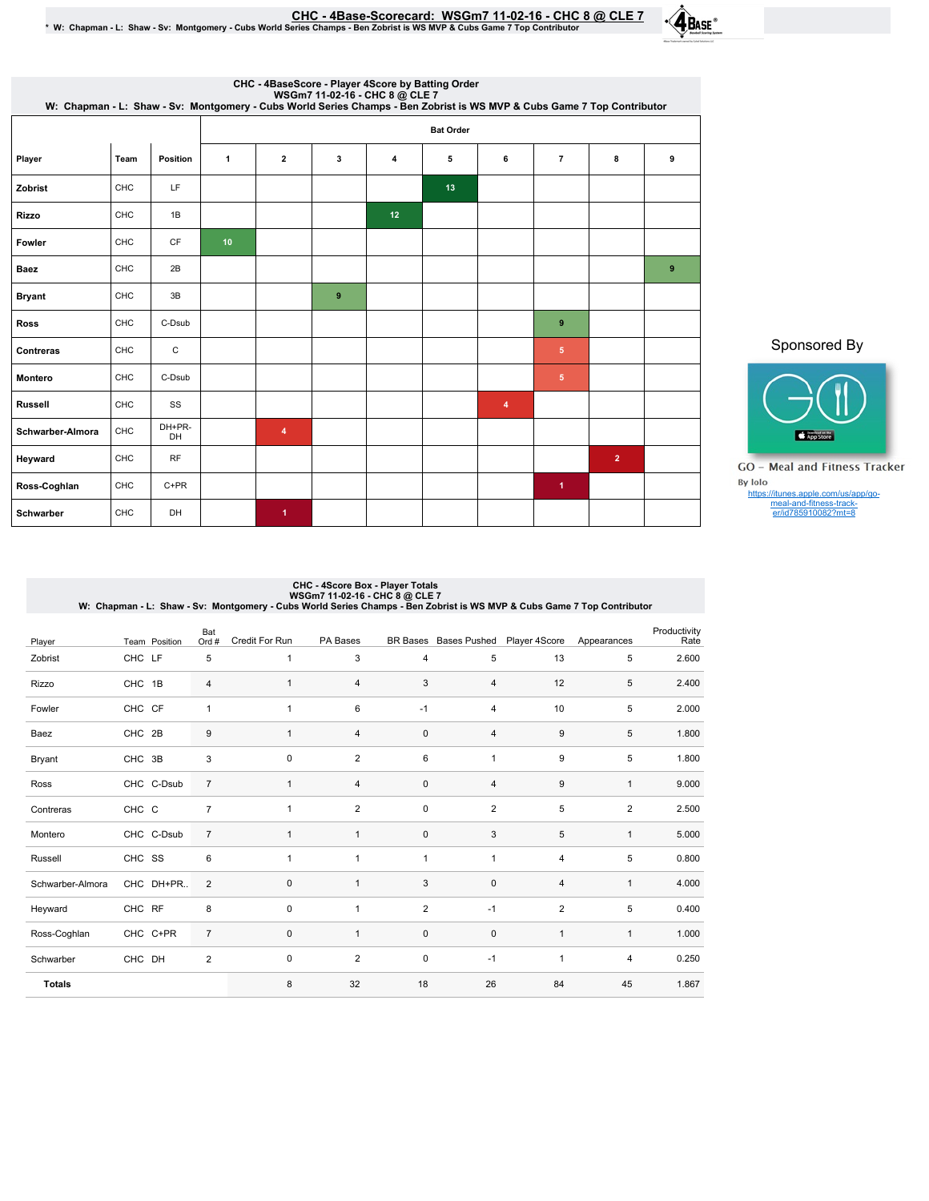<u>CHC - 4Base-Scorecard: WSGm7 11-02-16 - CHC 8 @ CLE 7 .</u><br>W: Chapman - L: Shaw - Sv: Montgomery - Cubs World Series Champs - Ben Zobrist is WS MVP & Cubs Game 7 Top Contributor \* \*



| CHC - 4BaseScore - Player 4Score by Batting Order<br>WSGm7 11-02-16 - CHC 8 @ CLE 7<br>W: Chapman - L: Shaw - Sv: Montgomery - Cubs World Series Champs - Ben Zobrist is WS MVP & Cubs Game 7 Top Contributor |      |              |                 |                         |          |    |                  |   |                      |                |   |  |  |  |  |
|---------------------------------------------------------------------------------------------------------------------------------------------------------------------------------------------------------------|------|--------------|-----------------|-------------------------|----------|----|------------------|---|----------------------|----------------|---|--|--|--|--|
|                                                                                                                                                                                                               |      |              |                 |                         |          |    | <b>Bat Order</b> |   |                      |                |   |  |  |  |  |
| Player                                                                                                                                                                                                        | Team | Position     | $\mathbf{1}$    | $\overline{2}$          | 3        | 4  | 5                | 6 | $\overline{7}$       | 8              | 9 |  |  |  |  |
| Zobrist                                                                                                                                                                                                       | CHC  | LF           |                 |                         |          |    | 13               |   |                      |                |   |  |  |  |  |
| <b>Rizzo</b>                                                                                                                                                                                                  | CHC  | 1B           |                 |                         |          | 12 |                  |   |                      |                |   |  |  |  |  |
| Fowler                                                                                                                                                                                                        | CHC  | CF           | 10 <sup>°</sup> |                         |          |    |                  |   |                      |                |   |  |  |  |  |
| <b>Baez</b>                                                                                                                                                                                                   | CHC  | 2B           |                 |                         |          |    |                  |   |                      |                | 9 |  |  |  |  |
| <b>Bryant</b>                                                                                                                                                                                                 | CHC  | 3B           |                 |                         | $\bf{9}$ |    |                  |   |                      |                |   |  |  |  |  |
| <b>Ross</b>                                                                                                                                                                                                   | CHC  | C-Dsub       |                 |                         |          |    |                  |   | 9                    |                |   |  |  |  |  |
| Contreras                                                                                                                                                                                                     | CHC  | C            |                 |                         |          |    |                  |   | $5\phantom{.0}$      |                |   |  |  |  |  |
| <b>Montero</b>                                                                                                                                                                                                | CHC  | C-Dsub       |                 |                         |          |    |                  |   | $5\phantom{.0}$      |                |   |  |  |  |  |
| <b>Russell</b>                                                                                                                                                                                                | CHC  | SS           |                 |                         |          |    |                  | 4 |                      |                |   |  |  |  |  |
| Schwarber-Almora                                                                                                                                                                                              | CHC  | DH+PR-<br>DH |                 | $\overline{\mathbf{4}}$ |          |    |                  |   |                      |                |   |  |  |  |  |
| Heyward                                                                                                                                                                                                       | CHC  | <b>RF</b>    |                 |                         |          |    |                  |   |                      | $\overline{2}$ |   |  |  |  |  |
| Ross-Coghlan                                                                                                                                                                                                  | CHC  | $C+PR$       |                 |                         |          |    |                  |   | $\blacktriangleleft$ |                |   |  |  |  |  |
| Schwarber                                                                                                                                                                                                     | CHC  | DH           |                 | 1                       |          |    |                  |   |                      |                |   |  |  |  |  |

## Sponsored By



GO - Meal and Fitness Tracker By Iolo https://itunes.apple.com/us/app/go-meal-and-fitness-track-er/id785910082?mt=8

# CHC - 4Score Box - Player Totals<br>W: Chapman - L: Shaw - Sv: Montgomery - CubS World Series Champs - Ben Zobrist is WS MVP & Cubs Game 7 Top Contributor<br>W: Chapman - L: Shaw - Sv: Montgomery - Cubs World Series Champ

| Player           |        | Team Position | Bat<br>Ord #   | Credit For Run | PA Bases       | <b>BR</b> Bases | <b>Bases Pushed</b> | Player 4Score  | Appearances    | Productivity<br>Rate |
|------------------|--------|---------------|----------------|----------------|----------------|-----------------|---------------------|----------------|----------------|----------------------|
| Zobrist          | CHC LF |               | 5              | $\mathbf{1}$   | 3              | $\overline{4}$  | 5                   | 13             | 5              | 2.600                |
| Rizzo            | CHC 1B |               | 4              | $\mathbf{1}$   | 4              | 3               | 4                   | 12             | 5              | 2.400                |
| Fowler           | CHC CF |               | 1              | $\overline{1}$ | 6              | $-1$            | 4                   | 10             | 5              | 2.000                |
| Baez             | CHC 2B |               | 9              | $\mathbf{1}$   | 4              | $\mathbf 0$     | 4                   | $9\,$          | 5              | 1.800                |
| Bryant           | CHC 3B |               | 3              | $\mathbf 0$    | $\overline{2}$ | 6               | 1                   | 9              | 5              | 1.800                |
| Ross             |        | CHC C-Dsub    | $\overline{7}$ | $\mathbf{1}$   | 4              | $\mathbf 0$     | 4                   | 9              | $\mathbf{1}$   | 9.000                |
| Contreras        | CHC C  |               | $\overline{7}$ | 1              | $\overline{2}$ | $\mathbf 0$     | $\overline{2}$      | 5              | $\overline{2}$ | 2.500                |
| Montero          |        | CHC C-Dsub    | $\overline{7}$ | $\mathbf{1}$   | $\mathbf{1}$   | $\mathbf 0$     | 3                   | 5              | $\mathbf{1}$   | 5.000                |
| Russell          | CHC SS |               | 6              | 1              | 1              | $\mathbf{1}$    | 1                   | 4              | 5              | 0.800                |
| Schwarber-Almora |        | CHC DH+PR     | $\overline{2}$ | $\mathbf{0}$   | $\mathbf{1}$   | 3               | 0                   | 4              | $\mathbf{1}$   | 4.000                |
| Heyward          | CHC RF |               | 8              | 0              | 1              | $\overline{2}$  | $-1$                | $\overline{2}$ | 5              | 0.400                |
| Ross-Coghlan     |        | CHC C+PR      | $\overline{7}$ | $\mathbf{0}$   | $\mathbf{1}$   | $\mathbf 0$     | $\mathbf{0}$        | $\mathbf{1}$   | $\mathbf{1}$   | 1.000                |
| Schwarber        | CHC DH |               | $\overline{2}$ | $\mathsf 0$    | $\overline{2}$ | $\mathbf 0$     | $-1$                | 1              | $\overline{4}$ | 0.250                |
| <b>Totals</b>    |        |               |                | 8              | 32             | 18              | 26                  | 84             | 45             | 1.867                |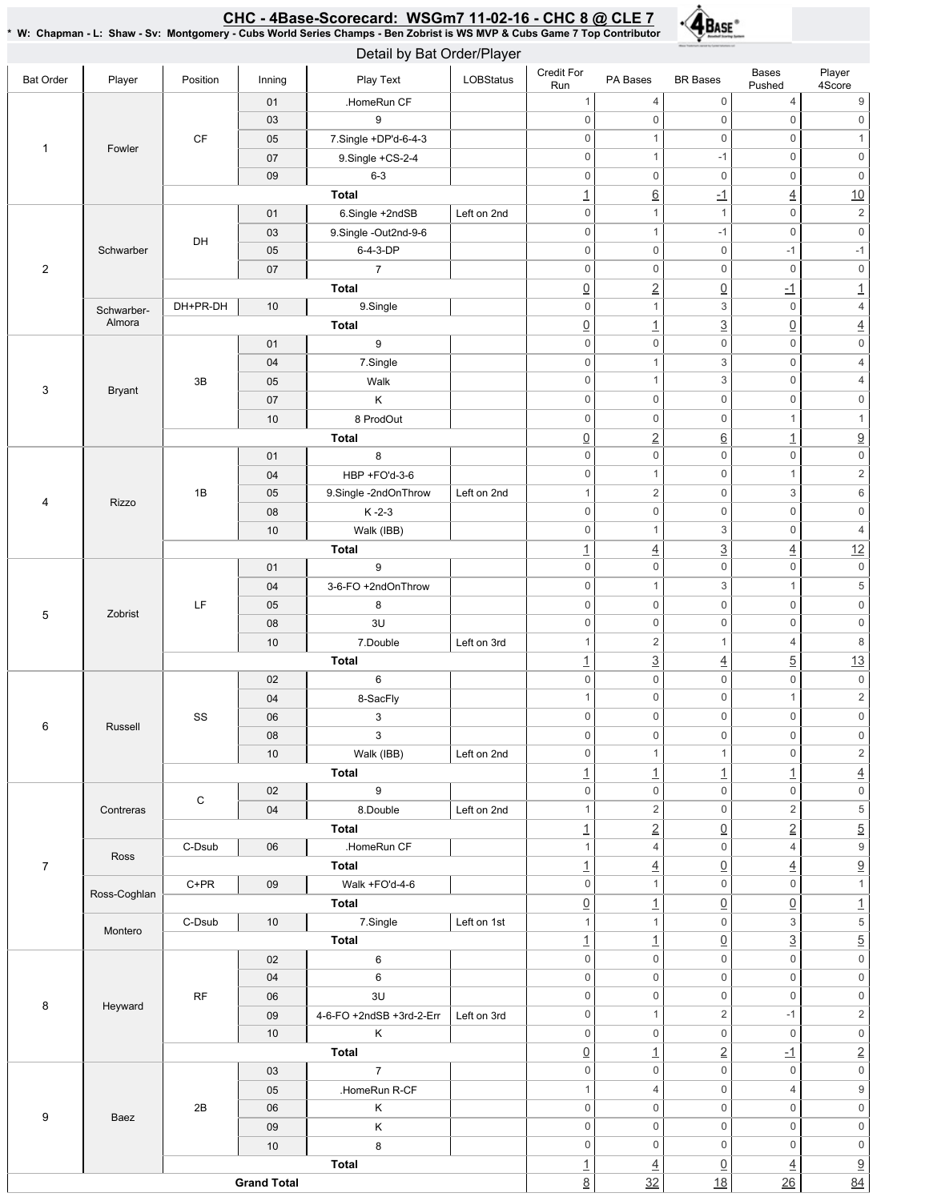#### CHC-4Base-Scorecard:WSGm711-02-16-CHC8@ CLE7 \* W: Chapman - L: Shaw - Sv: Montgomery - Cubs World Series Champs - Ben Zobrist is WS MVP & Cubs Game 7 Top Contributor



| Detail by Bat Order/Player                                                                                                                                                                                                                                                                                                                                                                                                                                                                                                                                                                                                                                                                                                                                                                                                                                                                                                                                                                                                                                                                                                                                                                                                                                                                                                 |        |             |                    |                          |                  |                     |                      |                           |                               |                                                                                                 |              |                     |
|----------------------------------------------------------------------------------------------------------------------------------------------------------------------------------------------------------------------------------------------------------------------------------------------------------------------------------------------------------------------------------------------------------------------------------------------------------------------------------------------------------------------------------------------------------------------------------------------------------------------------------------------------------------------------------------------------------------------------------------------------------------------------------------------------------------------------------------------------------------------------------------------------------------------------------------------------------------------------------------------------------------------------------------------------------------------------------------------------------------------------------------------------------------------------------------------------------------------------------------------------------------------------------------------------------------------------|--------|-------------|--------------------|--------------------------|------------------|---------------------|----------------------|---------------------------|-------------------------------|-------------------------------------------------------------------------------------------------|--------------|---------------------|
| <b>Bat Order</b>                                                                                                                                                                                                                                                                                                                                                                                                                                                                                                                                                                                                                                                                                                                                                                                                                                                                                                                                                                                                                                                                                                                                                                                                                                                                                                           | Player | Position    | Inning             | Play Text                | <b>LOBStatus</b> | Credit For<br>Run   | PA Bases             | <b>BR</b> Bases           | <b>Bases</b><br>Pushed        | Player<br>4Score                                                                                |              |                     |
|                                                                                                                                                                                                                                                                                                                                                                                                                                                                                                                                                                                                                                                                                                                                                                                                                                                                                                                                                                                                                                                                                                                                                                                                                                                                                                                            |        |             | 01                 | .HomeRun CF              |                  | $\mathbf{1}$        | 4                    | $\mathbf 0$               | $\overline{4}$                | 9                                                                                               |              |                     |
|                                                                                                                                                                                                                                                                                                                                                                                                                                                                                                                                                                                                                                                                                                                                                                                                                                                                                                                                                                                                                                                                                                                                                                                                                                                                                                                            |        |             |                    |                          |                  | $\mathsf{O}\xspace$ | $\mathsf{O}\xspace$  | $\mathbf 0$               | $\mathbf 0$                   | $\mathsf{O}\xspace$                                                                             |              |                     |
|                                                                                                                                                                                                                                                                                                                                                                                                                                                                                                                                                                                                                                                                                                                                                                                                                                                                                                                                                                                                                                                                                                                                                                                                                                                                                                                            |        | СF          | 05                 |                          |                  | $\mathbf 0$         | $\mathbf{1}$         | $\mathbf 0$               | $\mathbf 0$                   | $\mathbf{1}$                                                                                    |              |                     |
|                                                                                                                                                                                                                                                                                                                                                                                                                                                                                                                                                                                                                                                                                                                                                                                                                                                                                                                                                                                                                                                                                                                                                                                                                                                                                                                            |        |             | 07                 | 9.Single +CS-2-4         |                  | $\mathsf{O}\xspace$ | $\mathbf{1}$         | $-1$                      | $\mathbf 0$                   | $\mathbb O$                                                                                     |              |                     |
| 9<br>03<br>7.Single +DP'd-6-4-3<br>$\mathbf{1}$<br>Fowler<br>$6 - 3$<br>09<br>Total<br>01<br>6.Single +2ndSB<br>9.Single -Out2nd-9-6<br>03<br>DH<br>6-4-3-DP<br>Schwarber<br>05<br>$\overline{2}$<br>$\overline{7}$<br>07<br><b>Total</b><br>DH+PR-DH<br>10<br>9.Single<br>Schwarber-<br>Almora<br><b>Total</b><br>9<br>01<br>7.Single<br>04<br>3B<br>05<br>Walk<br>$\ensuremath{\mathsf{3}}$<br><b>Bryant</b><br>07<br>Κ<br>8 ProdOut<br>10<br><b>Total</b><br>8<br>01<br>HBP +FO'd-3-6<br>04<br>1B<br>05<br>9.Single -2ndOnThrow<br>4<br>Rizzo<br>$K - 2 - 3$<br>08<br>Walk (IBB)<br>10<br><b>Total</b><br>9<br>01<br>3-6-FO +2ndOnThrow<br>04<br>LF<br>8<br>05<br>5<br>Zobrist<br>3U<br>08<br>7.Double<br>10<br>Total<br>6<br>02<br>8-SacFly<br>04<br>SS<br>3<br>06<br>6<br>Russell<br>3<br>08<br>Walk (IBB)<br>10<br><b>Total</b><br>$\boldsymbol{9}$<br>02<br>С<br>8.Double<br>Contreras<br>04<br><b>Total</b><br>C-Dsub<br>06<br>.HomeRun CF<br>Ross<br>$\overline{7}$<br><b>Total</b><br>$C+PR$<br>Walk +FO'd-4-6<br>09<br>Ross-Coghlan<br><b>Total</b><br>7.Single<br>C-Dsub<br>10<br>Montero<br>Total<br>6<br>02<br>6<br>04<br>RF<br>3U<br>06<br>8<br>Heyward<br>09<br>Κ<br>10<br><b>Total</b><br>$\overline{7}$<br>03<br>.HomeRun R-CF<br>05<br>2B<br>Κ<br>06<br>9<br>Baez<br>K<br>09<br>8<br>10<br><b>Total</b> |        | $\mathbf 0$ | $\mathbf 0$        | $\mathsf{O}\xspace$      | $\mathbf 0$      | $\mathbb O$         |                      |                           |                               |                                                                                                 |              |                     |
|                                                                                                                                                                                                                                                                                                                                                                                                                                                                                                                                                                                                                                                                                                                                                                                                                                                                                                                                                                                                                                                                                                                                                                                                                                                                                                                            |        |             |                    |                          |                  | <u> 1</u>           | $\underline{6}$      | $-1$                      | $\overline{4}$                | 10                                                                                              |              |                     |
|                                                                                                                                                                                                                                                                                                                                                                                                                                                                                                                                                                                                                                                                                                                                                                                                                                                                                                                                                                                                                                                                                                                                                                                                                                                                                                                            |        |             |                    |                          | Left on 2nd      | $\mathsf{O}\xspace$ | $\mathbf{1}$         | $\mathbf{1}$              | $\mathsf 0$                   | $\sqrt{2}$                                                                                      |              |                     |
|                                                                                                                                                                                                                                                                                                                                                                                                                                                                                                                                                                                                                                                                                                                                                                                                                                                                                                                                                                                                                                                                                                                                                                                                                                                                                                                            |        |             |                    |                          |                  | $\mathsf{O}\xspace$ | $\mathbf{1}$         | $-1$                      | $\mathbf 0$                   | $\mathsf 0$                                                                                     |              |                     |
|                                                                                                                                                                                                                                                                                                                                                                                                                                                                                                                                                                                                                                                                                                                                                                                                                                                                                                                                                                                                                                                                                                                                                                                                                                                                                                                            |        |             |                    |                          |                  | $\mathsf{O}\xspace$ | $\mathbf 0$          | $\mathsf{O}\xspace$       | $-1$                          | $-1$                                                                                            |              |                     |
|                                                                                                                                                                                                                                                                                                                                                                                                                                                                                                                                                                                                                                                                                                                                                                                                                                                                                                                                                                                                                                                                                                                                                                                                                                                                                                                            |        |             |                    |                          |                  | $\mathbf 0$         | 0                    | $\mathbf 0$               | $\mathbf 0$                   | $\mathbb O$                                                                                     |              |                     |
|                                                                                                                                                                                                                                                                                                                                                                                                                                                                                                                                                                                                                                                                                                                                                                                                                                                                                                                                                                                                                                                                                                                                                                                                                                                                                                                            |        |             |                    |                          |                  | $\underline{0}$     | $\underline{2}$      | $\underline{0}$           | $\overline{-1}$               | $\underline{\mathbf{1}}$                                                                        |              |                     |
|                                                                                                                                                                                                                                                                                                                                                                                                                                                                                                                                                                                                                                                                                                                                                                                                                                                                                                                                                                                                                                                                                                                                                                                                                                                                                                                            |        |             |                    |                          |                  | $\mathbf 0$         | $\mathbf{1}$         | $\ensuremath{\mathsf{3}}$ | $\mathbf 0$                   | $\sqrt{4}$                                                                                      |              |                     |
|                                                                                                                                                                                                                                                                                                                                                                                                                                                                                                                                                                                                                                                                                                                                                                                                                                                                                                                                                                                                                                                                                                                                                                                                                                                                                                                            |        |             |                    |                          |                  | $\underline{0}$     | $\overline{1}$       | $\overline{3}$            | $\underline{0}$               | $\overline{4}$                                                                                  |              |                     |
|                                                                                                                                                                                                                                                                                                                                                                                                                                                                                                                                                                                                                                                                                                                                                                                                                                                                                                                                                                                                                                                                                                                                                                                                                                                                                                                            |        |             |                    |                          |                  | $\mathsf 0$         | $\mathsf{O}\xspace$  | $\mathbf 0$               | $\mathbf 0$                   | $\mathsf{O}\xspace$                                                                             |              |                     |
|                                                                                                                                                                                                                                                                                                                                                                                                                                                                                                                                                                                                                                                                                                                                                                                                                                                                                                                                                                                                                                                                                                                                                                                                                                                                                                                            |        |             |                    |                          |                  | $\mathbf 0$         | $\mathbf{1}$         | 3                         | $\mathbf 0$                   | $\overline{4}$                                                                                  |              |                     |
|                                                                                                                                                                                                                                                                                                                                                                                                                                                                                                                                                                                                                                                                                                                                                                                                                                                                                                                                                                                                                                                                                                                                                                                                                                                                                                                            |        |             |                    |                          |                  | $\mathbf 0$         | $\mathbf{1}$         | 3                         | $\mathbf 0$                   | $\overline{4}$                                                                                  |              |                     |
|                                                                                                                                                                                                                                                                                                                                                                                                                                                                                                                                                                                                                                                                                                                                                                                                                                                                                                                                                                                                                                                                                                                                                                                                                                                                                                                            |        |             |                    |                          |                  | $\mathbf 0$         | $\mathsf{O}\xspace$  | $\mathbf 0$               | $\mathsf 0$                   | $\mathbf 0$                                                                                     |              |                     |
|                                                                                                                                                                                                                                                                                                                                                                                                                                                                                                                                                                                                                                                                                                                                                                                                                                                                                                                                                                                                                                                                                                                                                                                                                                                                                                                            |        |             |                    |                          |                  | $\mathbf 0$         | $\mathsf{O}\xspace$  | $\mathbf 0$               | $\mathbf{1}$                  | $\mathbf{1}$                                                                                    |              |                     |
|                                                                                                                                                                                                                                                                                                                                                                                                                                                                                                                                                                                                                                                                                                                                                                                                                                                                                                                                                                                                                                                                                                                                                                                                                                                                                                                            |        |             |                    |                          |                  | $\underline{0}$     | $\underline{2}$      | $\underline{6}$           |                               | $\overline{\partial}$                                                                           |              |                     |
|                                                                                                                                                                                                                                                                                                                                                                                                                                                                                                                                                                                                                                                                                                                                                                                                                                                                                                                                                                                                                                                                                                                                                                                                                                                                                                                            |        |             |                    |                          |                  | $\mathbf 0$         | 0                    | $\mathbf 0$               | $\overline{1}$<br>$\mathbf 0$ | $\mathsf{O}\xspace$                                                                             |              |                     |
|                                                                                                                                                                                                                                                                                                                                                                                                                                                                                                                                                                                                                                                                                                                                                                                                                                                                                                                                                                                                                                                                                                                                                                                                                                                                                                                            |        |             |                    |                          |                  | $\mathsf{O}\xspace$ | $\mathbf{1}$         | $\mathsf{O}\xspace$       | $\mathbf{1}$                  | $\sqrt{2}$                                                                                      |              |                     |
|                                                                                                                                                                                                                                                                                                                                                                                                                                                                                                                                                                                                                                                                                                                                                                                                                                                                                                                                                                                                                                                                                                                                                                                                                                                                                                                            |        |             |                    |                          | Left on 2nd      | $\mathbf{1}$        | $\overline{2}$       | $\mathbf 0$               | $\ensuremath{\mathsf{3}}$     | 6                                                                                               |              |                     |
|                                                                                                                                                                                                                                                                                                                                                                                                                                                                                                                                                                                                                                                                                                                                                                                                                                                                                                                                                                                                                                                                                                                                                                                                                                                                                                                            |        |             |                    |                          |                  | $\mathbf 0$         | $\mathsf{O}\xspace$  | $\mathsf{O}\xspace$       | $\mathsf 0$                   | $\mathsf{O}\xspace$                                                                             |              |                     |
|                                                                                                                                                                                                                                                                                                                                                                                                                                                                                                                                                                                                                                                                                                                                                                                                                                                                                                                                                                                                                                                                                                                                                                                                                                                                                                                            |        |             |                    |                          |                  |                     |                      |                           |                               |                                                                                                 |              |                     |
|                                                                                                                                                                                                                                                                                                                                                                                                                                                                                                                                                                                                                                                                                                                                                                                                                                                                                                                                                                                                                                                                                                                                                                                                                                                                                                                            |        |             |                    |                          |                  | $\mathbf 0$         | $\mathbf{1}$         | 3                         | $\mathbf 0$                   | $\sqrt{4}$                                                                                      |              |                     |
|                                                                                                                                                                                                                                                                                                                                                                                                                                                                                                                                                                                                                                                                                                                                                                                                                                                                                                                                                                                                                                                                                                                                                                                                                                                                                                                            |        |             |                    |                          |                  | $\overline{1}$      | $\overline{4}$       | $\overline{3}$            | $\overline{4}$                |                                                                                                 |              |                     |
|                                                                                                                                                                                                                                                                                                                                                                                                                                                                                                                                                                                                                                                                                                                                                                                                                                                                                                                                                                                                                                                                                                                                                                                                                                                                                                                            |        |             |                    |                          |                  | $\mathsf{O}\xspace$ | 0                    | $\mathbf 0$               | $\mathbf 0$                   |                                                                                                 |              |                     |
|                                                                                                                                                                                                                                                                                                                                                                                                                                                                                                                                                                                                                                                                                                                                                                                                                                                                                                                                                                                                                                                                                                                                                                                                                                                                                                                            |        |             |                    |                          |                  | $\mathsf{O}\xspace$ | $\mathbf{1}$         | $\mathsf 3$               | $\mathbf{1}$                  | 12<br>$\mathsf{O}\xspace$<br>$\,$ 5 $\,$<br>$\mathsf{O}\xspace$<br>$\mathsf 0$<br>$\,8\,$<br>13 |              |                     |
|                                                                                                                                                                                                                                                                                                                                                                                                                                                                                                                                                                                                                                                                                                                                                                                                                                                                                                                                                                                                                                                                                                                                                                                                                                                                                                                            |        |             |                    |                          |                  | $\mathsf{O}\xspace$ | $\mathsf{O}\xspace$  | $\mathbf 0$               | $\mathbf 0$                   |                                                                                                 |              |                     |
|                                                                                                                                                                                                                                                                                                                                                                                                                                                                                                                                                                                                                                                                                                                                                                                                                                                                                                                                                                                                                                                                                                                                                                                                                                                                                                                            |        |             |                    |                          |                  | $\mathsf{O}\xspace$ | 0                    | $\mathbf 0$               | $\mathbf 0$                   |                                                                                                 |              |                     |
|                                                                                                                                                                                                                                                                                                                                                                                                                                                                                                                                                                                                                                                                                                                                                                                                                                                                                                                                                                                                                                                                                                                                                                                                                                                                                                                            |        |             |                    |                          | Left on 3rd      | $\mathbf{1}$        | $\overline{2}$       | $\mathbf{1}$              | $\overline{4}$                |                                                                                                 |              |                     |
|                                                                                                                                                                                                                                                                                                                                                                                                                                                                                                                                                                                                                                                                                                                                                                                                                                                                                                                                                                                                                                                                                                                                                                                                                                                                                                                            |        |             |                    |                          |                  | $\overline{1}$      | $\underline{3}$      | $\overline{4}$            | $\overline{5}$                |                                                                                                 |              |                     |
|                                                                                                                                                                                                                                                                                                                                                                                                                                                                                                                                                                                                                                                                                                                                                                                                                                                                                                                                                                                                                                                                                                                                                                                                                                                                                                                            |        |             |                    |                          |                  | $\mathsf{O}\xspace$ | $\mathsf 0$          | $\mathsf{O}\xspace$       | $\mathbf 0$                   | $\mathsf{0}$                                                                                    |              |                     |
|                                                                                                                                                                                                                                                                                                                                                                                                                                                                                                                                                                                                                                                                                                                                                                                                                                                                                                                                                                                                                                                                                                                                                                                                                                                                                                                            |        |             |                    |                          |                  |                     | $\mathbf{1}$         | $\mathsf 0$               | $\mathsf 0$                   | $\mathbf{1}$                                                                                    | $\sqrt{2}$   |                     |
|                                                                                                                                                                                                                                                                                                                                                                                                                                                                                                                                                                                                                                                                                                                                                                                                                                                                                                                                                                                                                                                                                                                                                                                                                                                                                                                            |        |             |                    |                          |                  |                     |                      | $\mathsf{O}\xspace$       | 0                             | $\mathbf 0$                                                                                     | $\mathbf 0$  | $\mathsf{O}\xspace$ |
|                                                                                                                                                                                                                                                                                                                                                                                                                                                                                                                                                                                                                                                                                                                                                                                                                                                                                                                                                                                                                                                                                                                                                                                                                                                                                                                            |        |             |                    |                          |                  |                     | $\mathsf{0}$         | 0                         | $\mathbf 0$                   | $\mathsf{O}\xspace$                                                                             | $\mathsf{0}$ |                     |
|                                                                                                                                                                                                                                                                                                                                                                                                                                                                                                                                                                                                                                                                                                                                                                                                                                                                                                                                                                                                                                                                                                                                                                                                                                                                                                                            |        |             |                    |                          | Left on 2nd      | 0                   | $\mathbf{1}$         | $\mathbf{1}$              | $\mathbf 0$                   | $\overline{2}$                                                                                  |              |                     |
|                                                                                                                                                                                                                                                                                                                                                                                                                                                                                                                                                                                                                                                                                                                                                                                                                                                                                                                                                                                                                                                                                                                                                                                                                                                                                                                            |        |             |                    |                          |                  | $\mathbf{1}$        | $\overline{1}$       | $\overline{1}$            | $\overline{1}$                | $\overline{4}$                                                                                  |              |                     |
|                                                                                                                                                                                                                                                                                                                                                                                                                                                                                                                                                                                                                                                                                                                                                                                                                                                                                                                                                                                                                                                                                                                                                                                                                                                                                                                            |        |             |                    |                          |                  | $\,0\,$             | 0                    | $\mathbf 0$               | $\mathsf{O}\xspace$           | $\overline{\text{o}}$                                                                           |              |                     |
|                                                                                                                                                                                                                                                                                                                                                                                                                                                                                                                                                                                                                                                                                                                                                                                                                                                                                                                                                                                                                                                                                                                                                                                                                                                                                                                            |        |             |                    |                          | Left on 2nd      | 1                   | $\overline{2}$       | $\mathbf 0$               | $\sqrt{2}$                    | $\sqrt{5}$                                                                                      |              |                     |
|                                                                                                                                                                                                                                                                                                                                                                                                                                                                                                                                                                                                                                                                                                                                                                                                                                                                                                                                                                                                                                                                                                                                                                                                                                                                                                                            |        |             |                    |                          |                  | $\overline{1}$      | $\underline{2}$      | $\underline{0}$           | $\overline{2}$                | $\overline{5}$                                                                                  |              |                     |
|                                                                                                                                                                                                                                                                                                                                                                                                                                                                                                                                                                                                                                                                                                                                                                                                                                                                                                                                                                                                                                                                                                                                                                                                                                                                                                                            |        |             |                    |                          |                  | $\mathbf{1}$        | 4                    | $\mathbf 0$               | $\sqrt{4}$                    | $\overline{9}$                                                                                  |              |                     |
|                                                                                                                                                                                                                                                                                                                                                                                                                                                                                                                                                                                                                                                                                                                                                                                                                                                                                                                                                                                                                                                                                                                                                                                                                                                                                                                            |        |             |                    |                          |                  | $\overline{1}$      | $\overline{4}$       | $\underline{0}$           | $\overline{4}$                | $\overline{9}$                                                                                  |              |                     |
|                                                                                                                                                                                                                                                                                                                                                                                                                                                                                                                                                                                                                                                                                                                                                                                                                                                                                                                                                                                                                                                                                                                                                                                                                                                                                                                            |        |             |                    |                          |                  | $\mathbf 0$         | $\mathbf{1}$         | $\mathbf 0$               | $\mathsf 0$                   | $\mathbf{1}$                                                                                    |              |                     |
|                                                                                                                                                                                                                                                                                                                                                                                                                                                                                                                                                                                                                                                                                                                                                                                                                                                                                                                                                                                                                                                                                                                                                                                                                                                                                                                            |        |             |                    |                          |                  | $\underline{0}$     | $\overline{1}$       | $\underline{0}$           | $\underline{0}$               | $\underline{\mathbf{1}}$                                                                        |              |                     |
|                                                                                                                                                                                                                                                                                                                                                                                                                                                                                                                                                                                                                                                                                                                                                                                                                                                                                                                                                                                                                                                                                                                                                                                                                                                                                                                            |        |             |                    |                          | Left on 1st      | $\mathbf{1}$        | $\mathbf{1}$         | $\mathsf{O}\xspace$       | 3                             | $\overline{5}$                                                                                  |              |                     |
|                                                                                                                                                                                                                                                                                                                                                                                                                                                                                                                                                                                                                                                                                                                                                                                                                                                                                                                                                                                                                                                                                                                                                                                                                                                                                                                            |        |             |                    |                          |                  | $\overline{1}$      | $\overline{1}$       | $\underline{0}$           | $\underline{3}$               | $\overline{5}$                                                                                  |              |                     |
|                                                                                                                                                                                                                                                                                                                                                                                                                                                                                                                                                                                                                                                                                                                                                                                                                                                                                                                                                                                                                                                                                                                                                                                                                                                                                                                            |        |             |                    |                          |                  | $\mathsf{O}\xspace$ | $\mathbf 0$          | $\mathsf{O}\xspace$       | $\mathbf 0$                   | $\overline{\mathbf{0}}$                                                                         |              |                     |
|                                                                                                                                                                                                                                                                                                                                                                                                                                                                                                                                                                                                                                                                                                                                                                                                                                                                                                                                                                                                                                                                                                                                                                                                                                                                                                                            |        |             |                    |                          |                  | $\mathsf{O}\xspace$ | 0                    | $\mathbf 0$               | $\mathsf 0$                   | $\mathsf{O}\xspace$                                                                             |              |                     |
|                                                                                                                                                                                                                                                                                                                                                                                                                                                                                                                                                                                                                                                                                                                                                                                                                                                                                                                                                                                                                                                                                                                                                                                                                                                                                                                            |        |             |                    |                          |                  | $\mathsf{O}\xspace$ | 0                    | $\mathbf 0$               | $\mathbf 0$                   | $\mathsf{O}\xspace$                                                                             |              |                     |
|                                                                                                                                                                                                                                                                                                                                                                                                                                                                                                                                                                                                                                                                                                                                                                                                                                                                                                                                                                                                                                                                                                                                                                                                                                                                                                                            |        |             |                    | 4-6-FO +2ndSB +3rd-2-Err | Left on 3rd      | $\mathbf 0$         | $\mathbf{1}$         | $\overline{2}$            | $-1$                          | $\sqrt{2}$                                                                                      |              |                     |
|                                                                                                                                                                                                                                                                                                                                                                                                                                                                                                                                                                                                                                                                                                                                                                                                                                                                                                                                                                                                                                                                                                                                                                                                                                                                                                                            |        |             |                    |                          |                  | $\mathsf{O}\xspace$ | $\mathbf 0$          | $\mathsf{O}\xspace$       | $\mathsf{O}\xspace$           | $\mathsf{0}$                                                                                    |              |                     |
|                                                                                                                                                                                                                                                                                                                                                                                                                                                                                                                                                                                                                                                                                                                                                                                                                                                                                                                                                                                                                                                                                                                                                                                                                                                                                                                            |        |             |                    |                          |                  | $\underline{0}$     | $\overline{1}$       | $\overline{2}$            | $-1$                          | $\overline{2}$                                                                                  |              |                     |
|                                                                                                                                                                                                                                                                                                                                                                                                                                                                                                                                                                                                                                                                                                                                                                                                                                                                                                                                                                                                                                                                                                                                                                                                                                                                                                                            |        |             |                    |                          |                  | $\mathsf 0$         | 0                    | $\mathsf 0$               | $\mathsf{O}\xspace$           | $\mathsf{O}\xspace$                                                                             |              |                     |
|                                                                                                                                                                                                                                                                                                                                                                                                                                                                                                                                                                                                                                                                                                                                                                                                                                                                                                                                                                                                                                                                                                                                                                                                                                                                                                                            |        |             |                    |                          |                  | $\mathbf{1}$        | 4                    | $\mathbf 0$               | $\overline{4}$                | $\boldsymbol{9}$                                                                                |              |                     |
|                                                                                                                                                                                                                                                                                                                                                                                                                                                                                                                                                                                                                                                                                                                                                                                                                                                                                                                                                                                                                                                                                                                                                                                                                                                                                                                            |        |             |                    |                          |                  | $\boldsymbol{0}$    | 0                    | $\mathsf{O}\xspace$       | $\mathbf 0$                   | $\mathsf{O}\xspace$                                                                             |              |                     |
|                                                                                                                                                                                                                                                                                                                                                                                                                                                                                                                                                                                                                                                                                                                                                                                                                                                                                                                                                                                                                                                                                                                                                                                                                                                                                                                            |        |             |                    |                          |                  | $\mathbf 0$         | 0                    | $\mathbf 0$               | $\mathbf 0$                   | $\mathsf{O}\xspace$                                                                             |              |                     |
|                                                                                                                                                                                                                                                                                                                                                                                                                                                                                                                                                                                                                                                                                                                                                                                                                                                                                                                                                                                                                                                                                                                                                                                                                                                                                                                            |        |             |                    |                          |                  | $\mathbf 0$         | 0                    | $\mathbf 0$               | $\mathbf 0$                   | $\mathsf{O}\xspace$                                                                             |              |                     |
|                                                                                                                                                                                                                                                                                                                                                                                                                                                                                                                                                                                                                                                                                                                                                                                                                                                                                                                                                                                                                                                                                                                                                                                                                                                                                                                            |        |             |                    |                          |                  | $\overline{1}$      |                      | $\underline{0}$           | $\overline{4}$                |                                                                                                 |              |                     |
|                                                                                                                                                                                                                                                                                                                                                                                                                                                                                                                                                                                                                                                                                                                                                                                                                                                                                                                                                                                                                                                                                                                                                                                                                                                                                                                            |        |             | <b>Grand Total</b> |                          |                  | $\underline{8}$     | $\overline{4}$<br>32 | 18                        | 26                            | $\frac{9}{84}$                                                                                  |              |                     |
|                                                                                                                                                                                                                                                                                                                                                                                                                                                                                                                                                                                                                                                                                                                                                                                                                                                                                                                                                                                                                                                                                                                                                                                                                                                                                                                            |        |             |                    |                          |                  |                     |                      |                           |                               |                                                                                                 |              |                     |